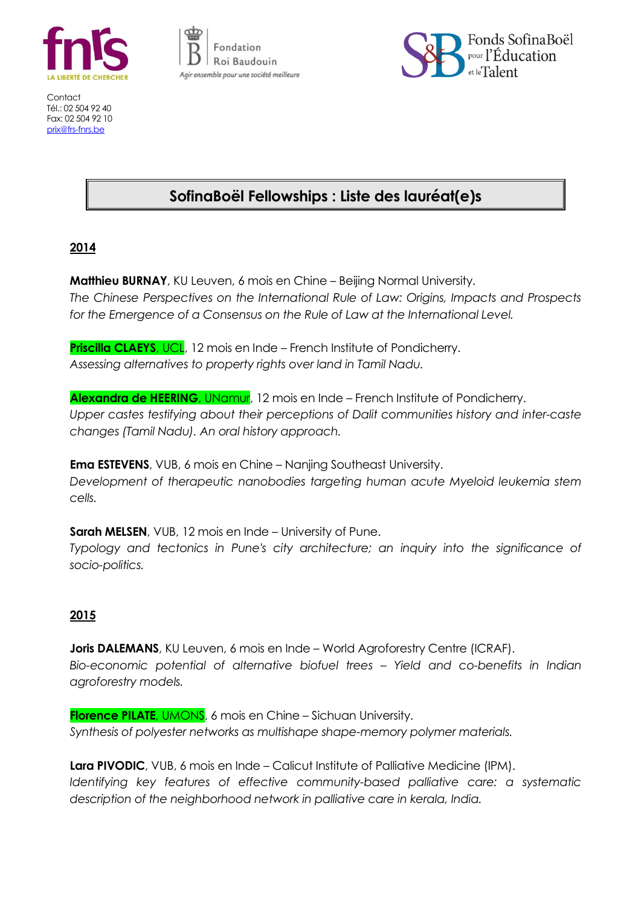

Contact Tél.: 02 504 92 40 Fax: 02 504 92 10 [prix@frs-fnrs.be](mailto:prix@frs-fnrs.be)





# **SofinaBoël Fellowships : Liste des lauréat(e)s**

## **2014**

**Matthieu BURNAY**, KU Leuven, 6 mois en Chine – Beijing Normal University. *The Chinese Perspectives on the International Rule of Law: Origins, Impacts and Prospects for the Emergence of a Consensus on the Rule of Law at the International Level.*

**Priscilla CLAEYS, UCL, 12 mois en Inde – French Institute of Pondicherry.** *Assessing alternatives to property rights over land in Tamil Nadu.*

**Alexandra de HEERING**, UNamur, 12 mois en Inde – French Institute of Pondicherry. *Upper castes testifying about their perceptions of Dalit communities history and inter-caste changes (Tamil Nadu). An oral history approach.*

**Ema ESTEVENS**, VUB, 6 mois en Chine – Nanjing Southeast University. *Development of therapeutic nanobodies targeting human acute Myeloid leukemia stem cells.*

**Sarah MELSEN**, VUB, 12 mois en Inde – University of Pune. *Typology and tectonics in Pune's city architecture; an inquiry into the significance of socio-politics.*

## **2015**

**Joris DALEMANS**, KU Leuven, 6 mois en Inde – World Agroforestry Centre (ICRAF). *Bio-economic potential of alternative biofuel trees – Yield and co-benefits in Indian agroforestry models.*

**Florence PILATE**, UMONS, 6 mois en Chine – Sichuan University. *Synthesis of polyester networks as multishape shape-memory polymer materials.*

**Lara PIVODIC**, VUB, 6 mois en Inde – Calicut Institute of Palliative Medicine (IPM). *Identifying key features of effective community-based palliative care: a systematic description of the neighborhood network in palliative care in kerala, India.*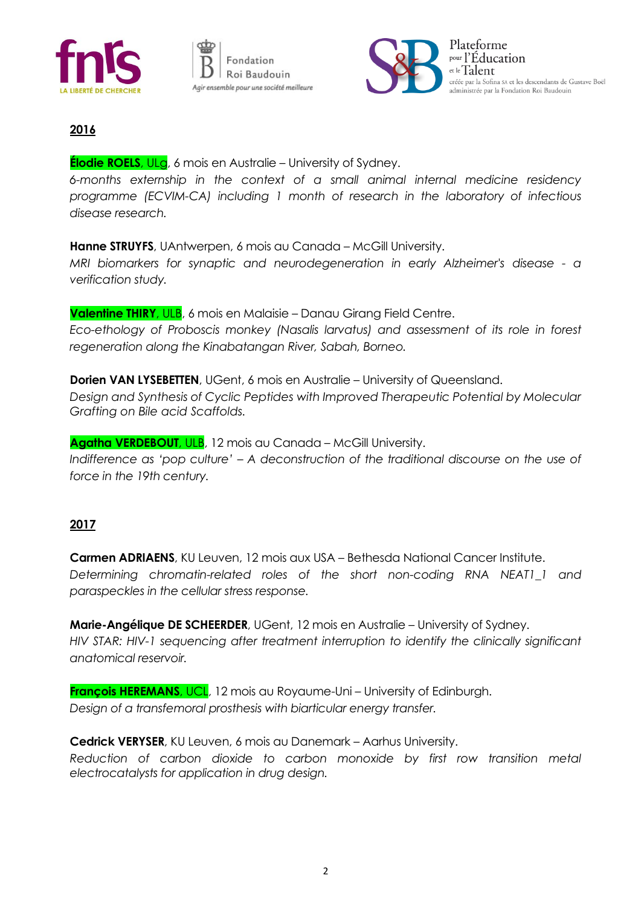





## **2016**

#### **Élodie ROELS**, ULg, 6 mois en Australie – University of Sydney.

*6-months externship in the context of a small animal internal medicine residency programme (ECVIM-CA) including 1 month of research in the laboratory of infectious disease research.*

**Hanne STRUYFS**, UAntwerpen, 6 mois au Canada – McGill University.

*MRI biomarkers for synaptic and neurodegeneration in early Alzheimer's disease - a verification study.*

**Valentine THIRY**, ULB, 6 mois en Malaisie – Danau Girang Field Centre. *Eco-ethology of Proboscis monkey (Nasalis larvatus) and assessment of its role in forest regeneration along the Kinabatangan River, Sabah, Borneo.*

**Dorien VAN LYSEBETTEN**, UGent, 6 mois en Australie – University of Queensland. *Design and Synthesis of Cyclic Peptides with Improved Therapeutic Potential by Molecular Grafting on Bile acid Scaffolds.*

**Agatha VERDEBOUT**, ULB, 12 mois au Canada – McGill University. *Indifference as 'pop culture' – A deconstruction of the traditional discourse on the use of force in the 19th century.*

### **2017**

**Carmen ADRIAENS**, KU Leuven, 12 mois aux USA – Bethesda National Cancer Institute. *Determining chromatin-related roles of the short non-coding RNA NEAT1\_1 and paraspeckles in the cellular stress response.*

**Marie-Angélique DE SCHEERDER**, UGent, 12 mois en Australie – University of Sydney. *HIV STAR: HIV-1 sequencing after treatment interruption to identify the clinically significant anatomical reservoir.*

**François HEREMANS**, UCL, 12 mois au Royaume-Uni – University of Edinburgh. *Design of a transfemoral prosthesis with biarticular energy transfer.*

**Cedrick VERYSER**, KU Leuven, 6 mois au Danemark – Aarhus University. *Reduction of carbon dioxide to carbon monoxide by first row transition metal electrocatalysts for application in drug design.*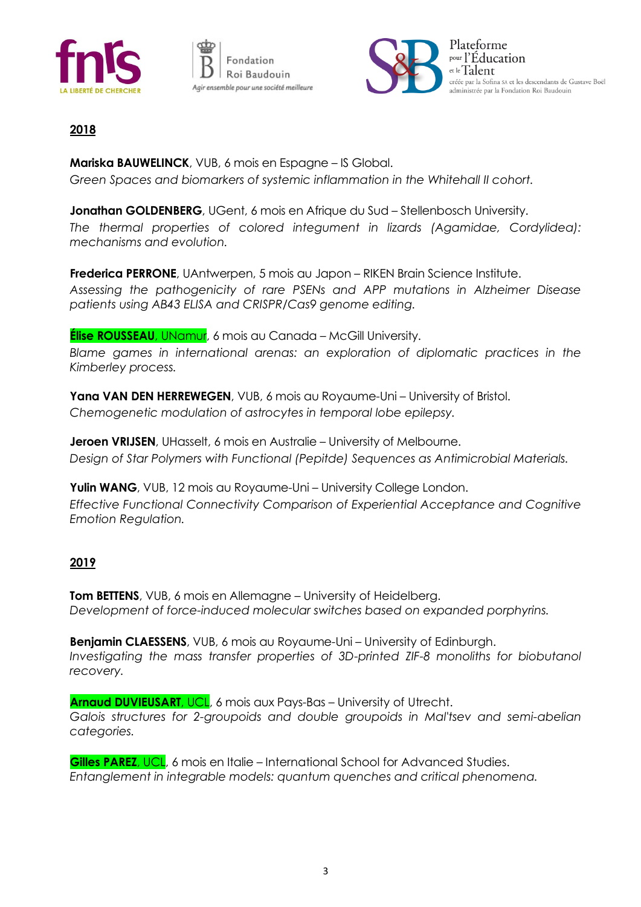





## **2018**

**Mariska BAUWELINCK**, VUB, 6 mois en Espagne – IS Global. *Green Spaces and biomarkers of systemic inflammation in the Whitehall II cohort.*

**Jonathan GOLDENBERG**, UGent, 6 mois en Afrique du Sud – Stellenbosch University. *The thermal properties of colored integument in lizards (Agamidae, Cordylidea): mechanisms and evolution.*

**Frederica PERRONE**, UAntwerpen, 5 mois au Japon – RIKEN Brain Science Institute. *Assessing the pathogenicity of rare PSENs and APP mutations in Alzheimer Disease patients using AB43 ELISA and CRISPR/Cas9 genome editing.*

**Élise ROUSSEAU**, UNamur, 6 mois au Canada – McGill University.

*Blame games in international arenas: an exploration of diplomatic practices in the Kimberley process.*

**Yana VAN DEN HERREWEGEN**, VUB, 6 mois au Royaume-Uni – University of Bristol. *Chemogenetic modulation of astrocytes in temporal lobe epilepsy.*

**Jeroen VRIJSEN**, UHasselt, 6 mois en Australie – University of Melbourne. *Design of Star Polymers with Functional (Pepitde) Sequences as Antimicrobial Materials.*

**Yulin WANG**, VUB, 12 mois au Royaume-Uni – University College London. *Effective Functional Connectivity Comparison of Experiential Acceptance and Cognitive Emotion Regulation.*

### **2019**

**Tom BETTENS**, VUB, 6 mois en Allemagne – University of Heidelberg. *Development of force-induced molecular switches based on expanded porphyrins.*

**Benjamin CLAESSENS**, VUB, 6 mois au Royaume-Uni – University of Edinburgh. *Investigating the mass transfer properties of 3D-printed ZIF-8 monoliths for biobutanol recovery.*

**Arnaud DUVIEUSART**, UCL, 6 mois aux Pays-Bas – University of Utrecht. *Galois structures for 2-groupoids and double groupoids in Mal'tsev and semi-abelian categories.*

**Gilles PAREZ**, UCL, 6 mois en Italie – International School for Advanced Studies. *Entanglement in integrable models: quantum quenches and critical phenomena.*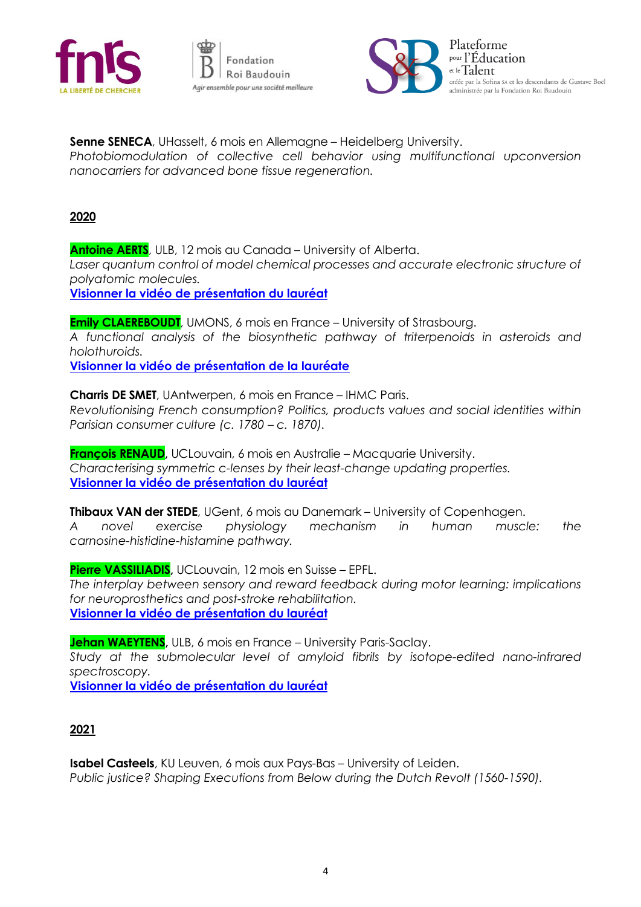





**Senne SENECA**, UHasselt, 6 mois en Allemagne – Heidelberg University. *Photobiomodulation of collective cell behavior using multifunctional upconversion nanocarriers for advanced bone tissue regeneration.*

#### **2020**

**Antoine AERTS**, ULB, 12 mois au Canada – University of Alberta. Laser quantum control of model chemical processes and accurate electronic structure of *polyatomic molecules.* **[Visionner la vidéo de présentation du lauréat](https://www.facebook.com/watch/?v=689108841945777)**

**Emily CLAEREBOUDT**, UMONS, 6 mois en France – University of Strasbourg. *A functional analysis of the biosynthetic pathway of triterpenoids in asteroids and holothuroids.*

**[Visionner la vidéo de présentation de la lauréate](https://www.facebook.com/watch/?v=588379438481811)**

**Charris DE SMET**, UAntwerpen, 6 mois en France – IHMC Paris. *Revolutionising French consumption? Politics, products values and social identities within Parisian consumer culture (c. 1780 – c. 1870).*

**François RENAUD,** UCLouvain, 6 mois en Australie – Macquarie University. *Characterising symmetric c-lenses by their least-change updating properties.* **[Visionner la vidéo de présentation du lauréat](https://www.facebook.com/watch/?v=303788817331148)**

**Thibaux VAN der STEDE**, UGent, 6 mois au Danemark – University of Copenhagen. *A novel exercise physiology mechanism in human muscle: the carnosine-histidine-histamine pathway.*

**Pierre VASSILIADIS,** UCLouvain, 12 mois en Suisse – EPFL. *The interplay between sensory and reward feedback during motor learning: implications for neuroprosthetics and post-stroke rehabilitation.* **[Visionner la vidéo de présentation du lauréat](https://www.facebook.com/watch/?v=902673103578635)**

**Jehan WAEYTENS,** ULB, 6 mois en France – University Paris-Saclay. *Study at the submolecular level of amyloid fibrils by isotope-edited nano-infrared spectroscopy.* **[Visionner la vidéo de présentation du lauréat](https://www.facebook.com/watch/?v=264935021617482)**

#### **2021**

**Isabel Casteels**, KU Leuven, 6 mois aux Pays-Bas – University of Leiden. *Public justice? Shaping Executions from Below during the Dutch Revolt (1560-1590).*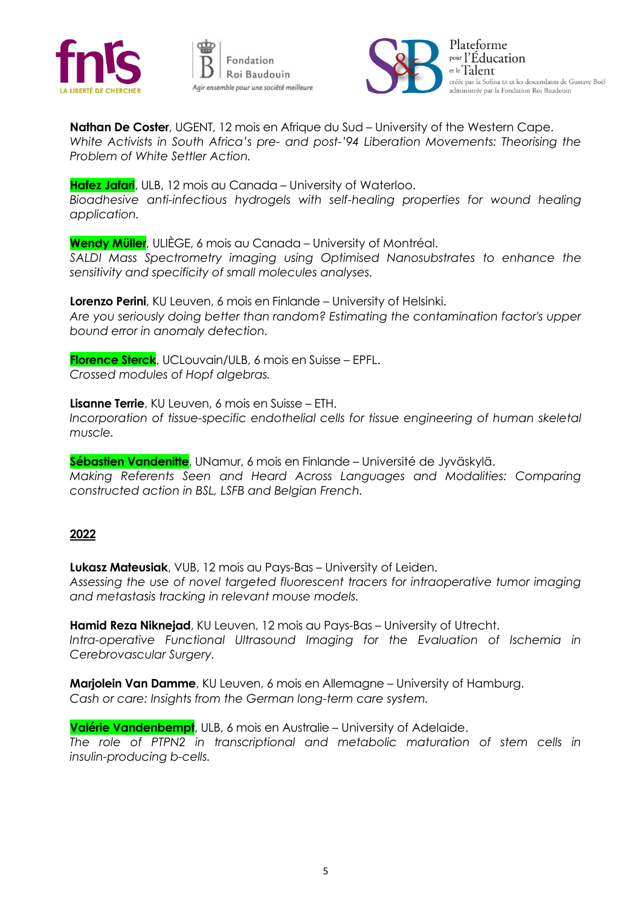





**Nathan De Coster**, UGENT, 12 mois en Afrique du Sud – University of the Western Cape. *White Activists in South Africa's pre- and post-'94 Liberation Movements: Theorising the Problem of White Settler Action.* 

**Hafez Jafari**, ULB, 12 mois au Canada – University of Waterloo. *Bioadhesive anti-infectious hydrogels with self-healing properties for wound healing application.*

**Wendy Müller**, ULIÈGE, 6 mois au Canada – University of Montréal. *SALDI Mass Spectrometry imaging using Optimised Nanosubstrates to enhance the sensitivity and specificity of small molecules analyses.*

**Lorenzo Perini**, KU Leuven, 6 mois en Finlande – University of Helsinki. *Are you seriously doing better than random? Estimating the contamination factor's upper bound error in anomaly detection.*

**Florence Sterck**, UCLouvain/ULB, 6 mois en Suisse – EPFL. *Crossed modules of Hopf algebras.*

**Lisanne Terrie**, KU Leuven, 6 mois en Suisse – ETH. Incorporation of tissue-specific endothelial cells for tissue engineering of human skeletal *muscle.*

**Sébastien Vandenitte**, UNamur, 6 mois en Finlande – Université de Jyväskylä. *Making Referents Seen and Heard Across Languages and Modalities: Comparing constructed action in BSL, LSFB and Belgian French.*

#### **2022**

**Lukasz Mateusiak**, VUB, 12 mois au Pays-Bas – University of Leiden. *Assessing the use of novel targeted fluorescent tracers for intraoperative tumor imaging and metastasis tracking in relevant mouse models.* 

**Hamid Reza Niknejad**, KU Leuven, 12 mois au Pays-Bas – University of Utrecht. Intra-operative Functional Ultrasound Imaging for the Evaluation of Ischemia in *Cerebrovascular Surgery.*

**Marjolein Van Damme**, KU Leuven, 6 mois en Allemagne – University of Hamburg. *Cash or care: Insights from the German long-term care system.*

**Valérie Vandenbempt**, ULB, 6 mois en Australie – University of Adelaide.

*The role of PTPN2 in transcriptional and metabolic maturation of stem cells in insulin-producing b-cells.*